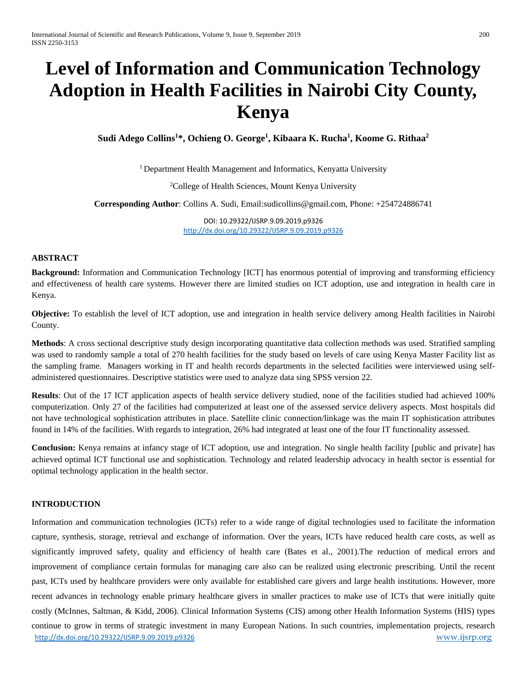# **Level of Information and Communication Technology Adoption in Health Facilities in Nairobi City County, Kenya**

**Sudi Adego Collins1 \*, Ochieng O. George1 , Kibaara K. Rucha1 , Koome G. Rithaa2**

<sup>1</sup> Department Health Management and Informatics, Kenyatta University

<sup>2</sup>College of Health Sciences, Mount Kenya University

**Corresponding Author**: Collins A. Sudi, Email:sudicollins@gmail.com, Phone: +254724886741

DOI: 10.29322/IJSRP.9.09.2019.p9326 <http://dx.doi.org/10.29322/IJSRP.9.09.2019.p9326>

## **ABSTRACT**

**Background:** Information and Communication Technology [ICT] has enormous potential of improving and transforming efficiency and effectiveness of health care systems. However there are limited studies on ICT adoption, use and integration in health care in Kenya.

**Objective:** To establish the level of ICT adoption, use and integration in health service delivery among Health facilities in Nairobi County.

**Methods**: A cross sectional descriptive study design incorporating quantitative data collection methods was used. Stratified sampling was used to randomly sample a total of 270 health facilities for the study based on levels of care using Kenya Master Facility list as the sampling frame. Managers working in IT and health records departments in the selected facilities were interviewed using selfadministered questionnaires. Descriptive statistics were used to analyze data sing SPSS version 22.

**Results**: Out of the 17 ICT application aspects of health service delivery studied, none of the facilities studied had achieved 100% computerization. Only 27 of the facilities had computerized at least one of the assessed service delivery aspects. Most hospitals did not have technological sophistication attributes in place. Satellite clinic connection/linkage was the main IT sophistication attributes found in 14% of the facilities. With regards to integration, 26% had integrated at least one of the four IT functionality assessed.

**Conclusion:** Kenya remains at infancy stage of ICT adoption, use and integration. No single health facility [public and private] has achieved optimal ICT functional use and sophistication. Technology and related leadership advocacy in health sector is essential for optimal technology application in the health sector.

#### **INTRODUCTION**

<http://dx.doi.org/10.29322/IJSRP.9.09.2019.p9326> [www.ijsrp.org](http://ijsrp.org/) Information and communication technologies (ICTs) refer to a wide range of digital technologies used to facilitate the information capture, synthesis, storage, retrieval and exchange of information. Over the years, ICTs have reduced health care costs, as well as significantly improved safety, quality and efficiency of health care (Bates et al., 2001).The reduction of medical errors and improvement of compliance certain formulas for managing care also can be realized using electronic prescribing. Until the recent past, ICTs used by healthcare providers were only available for established care givers and large health institutions. However, more recent advances in technology enable primary healthcare givers in smaller practices to make use of ICTs that were initially quite costly (McInnes, Saltman, & Kidd, 2006). Clinical Information Systems (CIS) among other Health Information Systems (HIS) types continue to grow in terms of strategic investment in many European Nations. In such countries, implementation projects, research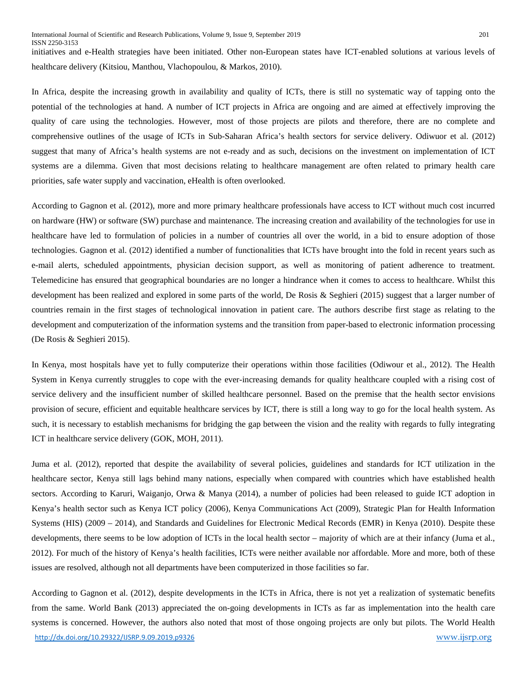initiatives and e-Health strategies have been initiated. Other non-European states have ICT-enabled solutions at various levels of healthcare delivery (Kitsiou, Manthou, Vlachopoulou, & Markos, 2010).

In Africa, despite the increasing growth in availability and quality of ICTs, there is still no systematic way of tapping onto the potential of the technologies at hand. A number of ICT projects in Africa are ongoing and are aimed at effectively improving the quality of care using the technologies. However, most of those projects are pilots and therefore, there are no complete and comprehensive outlines of the usage of ICTs in Sub-Saharan Africa's health sectors for service delivery. Odiwuor et al. (2012) suggest that many of Africa's health systems are not e-ready and as such, decisions on the investment on implementation of ICT systems are a dilemma. Given that most decisions relating to healthcare management are often related to primary health care priorities, safe water supply and vaccination, eHealth is often overlooked.

According to Gagnon et al. (2012), more and more primary healthcare professionals have access to ICT without much cost incurred on hardware (HW) or software (SW) purchase and maintenance. The increasing creation and availability of the technologies for use in healthcare have led to formulation of policies in a number of countries all over the world, in a bid to ensure adoption of those technologies. Gagnon et al. (2012) identified a number of functionalities that ICTs have brought into the fold in recent years such as e-mail alerts, scheduled appointments, physician decision support, as well as monitoring of patient adherence to treatment. Telemedicine has ensured that geographical boundaries are no longer a hindrance when it comes to access to healthcare. Whilst this development has been realized and explored in some parts of the world, De Rosis & Seghieri (2015) suggest that a larger number of countries remain in the first stages of technological innovation in patient care. The authors describe first stage as relating to the development and computerization of the information systems and the transition from paper-based to electronic information processing (De Rosis & Seghieri 2015).

In Kenya, most hospitals have yet to fully computerize their operations within those facilities (Odiwour et al., 2012). The Health System in Kenya currently struggles to cope with the ever-increasing demands for quality healthcare coupled with a rising cost of service delivery and the insufficient number of skilled healthcare personnel. Based on the premise that the health sector envisions provision of secure, efficient and equitable healthcare services by ICT, there is still a long way to go for the local health system. As such, it is necessary to establish mechanisms for bridging the gap between the vision and the reality with regards to fully integrating ICT in healthcare service delivery (GOK, MOH, 2011).

Juma et al. (2012), reported that despite the availability of several policies, guidelines and standards for ICT utilization in the healthcare sector, Kenya still lags behind many nations, especially when compared with countries which have established health sectors. According to Karuri, Waiganjo, Orwa & Manya (2014), a number of policies had been released to guide ICT adoption in Kenya's health sector such as Kenya ICT policy (2006), Kenya Communications Act (2009), Strategic Plan for Health Information Systems (HIS) (2009 – 2014), and Standards and Guidelines for Electronic Medical Records (EMR) in Kenya (2010). Despite these developments, there seems to be low adoption of ICTs in the local health sector – majority of which are at their infancy (Juma et al., 2012). For much of the history of Kenya's health facilities, ICTs were neither available nor affordable. More and more, both of these issues are resolved, although not all departments have been computerized in those facilities so far.

<http://dx.doi.org/10.29322/IJSRP.9.09.2019.p9326> [www.ijsrp.org](http://ijsrp.org/) According to Gagnon et al. (2012), despite developments in the ICTs in Africa, there is not yet a realization of systematic benefits from the same. World Bank (2013) appreciated the on-going developments in ICTs as far as implementation into the health care systems is concerned. However, the authors also noted that most of those ongoing projects are only but pilots. The World Health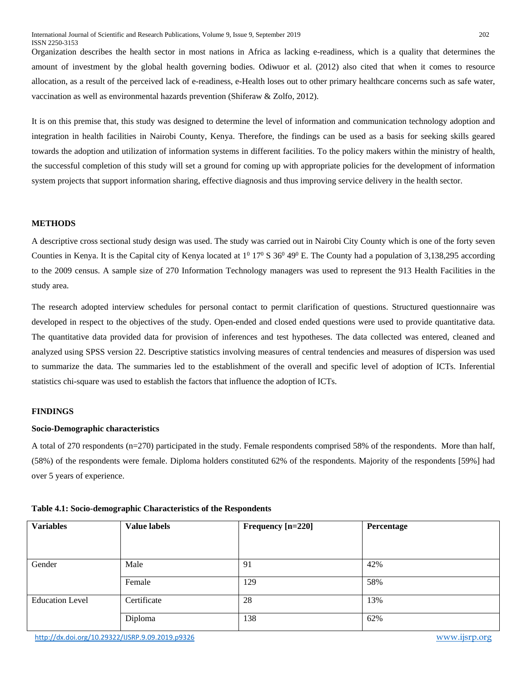Organization describes the health sector in most nations in Africa as lacking e-readiness, which is a quality that determines the amount of investment by the global health governing bodies. Odiwuor et al. (2012) also cited that when it comes to resource allocation, as a result of the perceived lack of e-readiness, e-Health loses out to other primary healthcare concerns such as safe water, vaccination as well as environmental hazards prevention (Shiferaw & Zolfo, 2012).

It is on this premise that, this study was designed to determine the level of information and communication technology adoption and integration in health facilities in Nairobi County, Kenya. Therefore, the findings can be used as a basis for seeking skills geared towards the adoption and utilization of information systems in different facilities. To the policy makers within the ministry of health, the successful completion of this study will set a ground for coming up with appropriate policies for the development of information system projects that support information sharing, effective diagnosis and thus improving service delivery in the health sector.

#### **METHODS**

A descriptive cross sectional study design was used. The study was carried out in Nairobi City County which is one of the forty seven Counties in Kenya. It is the Capital city of Kenya located at  $1^0$  17<sup>0</sup> S  $36^0$  49<sup>0</sup> E. The County had a population of 3,138,295 according to the 2009 census. A sample size of 270 Information Technology managers was used to represent the 913 Health Facilities in the study area.

The research adopted interview schedules for personal contact to permit clarification of questions. Structured questionnaire was developed in respect to the objectives of the study. Open-ended and closed ended questions were used to provide quantitative data. The quantitative data provided data for provision of inferences and test hypotheses. The data collected was entered, cleaned and analyzed using SPSS version 22. Descriptive statistics involving measures of central tendencies and measures of dispersion was used to summarize the data. The summaries led to the establishment of the overall and specific level of adoption of ICTs. Inferential statistics chi-square was used to establish the factors that influence the adoption of ICTs.

#### **FINDINGS**

#### **Socio-Demographic characteristics**

A total of 270 respondents (n=270) participated in the study. Female respondents comprised 58% of the respondents. More than half, (58%) of the respondents were female. Diploma holders constituted 62% of the respondents. Majority of the respondents [59%] had over 5 years of experience.

| <b>Variables</b>       | <b>Value labels</b> | Frequency [n=220] | Percentage |
|------------------------|---------------------|-------------------|------------|
|                        |                     |                   |            |
|                        |                     |                   |            |
| Gender                 | Male                | 91                | 42%        |
|                        |                     |                   |            |
|                        | Female              | 129               | 58%        |
|                        |                     |                   |            |
| <b>Education Level</b> | Certificate         | 28                | 13%        |
|                        |                     |                   |            |
|                        | Diploma             | 138               | 62%        |
|                        |                     |                   |            |

#### **Table 4.1: Socio-demographic Characteristics of the Respondents**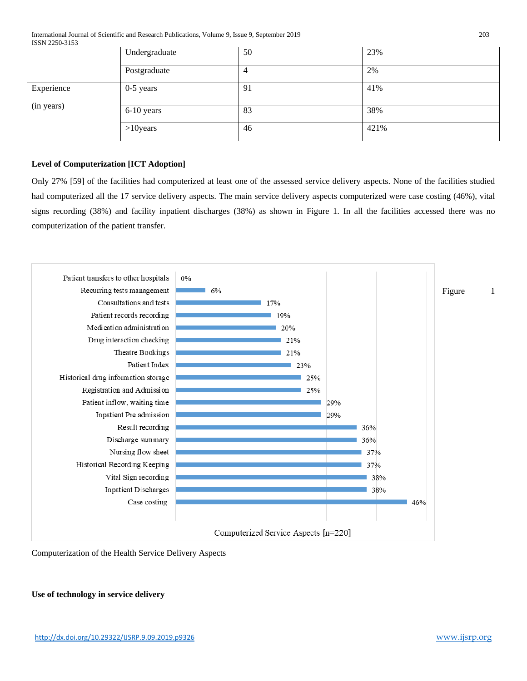International Journal of Scientific and Research Publications, Volume 9, Issue 9, September 2019 203 ISSN 2250-3153

|                          | Undergraduate | 50 | 23%  |
|--------------------------|---------------|----|------|
|                          | Postgraduate  | 4  | 2%   |
| Experience<br>(in years) | $0-5$ years   | 91 | 41%  |
|                          | 6-10 years    | 83 | 38%  |
|                          | $>10$ years   | 46 | 421% |

## **Level of Computerization [ICT Adoption]**

Only 27% [59] of the facilities had computerized at least one of the assessed service delivery aspects. None of the facilities studied had computerized all the 17 service delivery aspects. The main service delivery aspects computerized were case costing (46%), vital signs recording (38%) and facility inpatient discharges (38%) as shown in Figure 1. In all the facilities accessed there was no computerization of the patient transfer.



Computerization of the Health Service Delivery Aspects

**Use of technology in service delivery**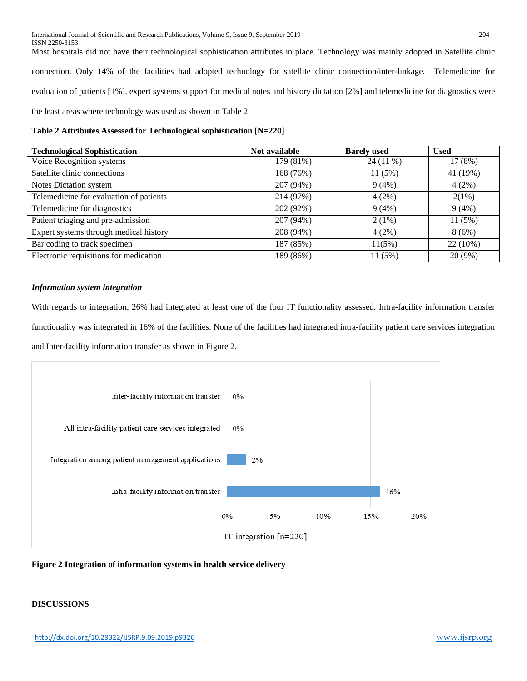Most hospitals did not have their technological sophistication attributes in place. Technology was mainly adopted in Satellite clinic connection. Only 14% of the facilities had adopted technology for satellite clinic connection/inter-linkage. Telemedicine for evaluation of patients [1%], expert systems support for medical notes and history dictation [2%] and telemedicine for diagnostics were the least areas where technology was used as shown in Table 2.

#### **Table 2 Attributes Assessed for Technological sophistication [N=220]**

| <b>Technological Sophistication</b>     | Not available | <b>Barely</b> used | <b>Used</b> |
|-----------------------------------------|---------------|--------------------|-------------|
| Voice Recognition systems               | 179 (81%)     | 24 (11 %)          | 17 (8%)     |
| Satellite clinic connections            | 168 (76%)     | 11(5%)             | 41 (19%)    |
| Notes Dictation system                  | 207 (94%)     | 9(4%)              | 4(2%)       |
| Telemedicine for evaluation of patients | 214 (97%)     | 4(2%)              | 2(1%)       |
| Telemedicine for diagnostics            | 202 (92%)     | 9(4%)              | 9(4%)       |
| Patient triaging and pre-admission      | 207 (94%)     | $2(1\%)$           | 11 (5%)     |
| Expert systems through medical history  | 208 (94%)     | 4(2%)              | 8(6%)       |
| Bar coding to track specimen            | 187 (85%)     | 11(5%)             | $22(10\%)$  |
| Electronic requisitions for medication  | 189 (86%)     | 11 (5%)            | 20 (9%)     |

#### *Information system integration*

With regards to integration, 26% had integrated at least one of the four IT functionality assessed. Intra-facility information transfer functionality was integrated in 16% of the facilities. None of the facilities had integrated intra-facility patient care services integration and Inter-facility information transfer as shown in Figure 2.



### **Figure 2 Integration of information systems in health service delivery**

## **DISCUSSIONS**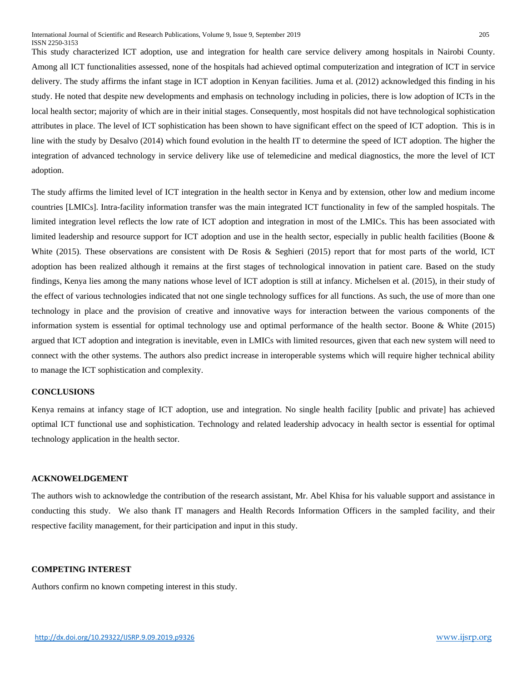This study characterized ICT adoption, use and integration for health care service delivery among hospitals in Nairobi County. Among all ICT functionalities assessed, none of the hospitals had achieved optimal computerization and integration of ICT in service delivery. The study affirms the infant stage in ICT adoption in Kenyan facilities. Juma et al. (2012) acknowledged this finding in his study. He noted that despite new developments and emphasis on technology including in policies, there is low adoption of ICTs in the local health sector; majority of which are in their initial stages. Consequently, most hospitals did not have technological sophistication attributes in place. The level of ICT sophistication has been shown to have significant effect on the speed of ICT adoption. This is in line with the study by Desalvo (2014) which found evolution in the health IT to determine the speed of ICT adoption. The higher the integration of advanced technology in service delivery like use of telemedicine and medical diagnostics, the more the level of ICT adoption.

The study affirms the limited level of ICT integration in the health sector in Kenya and by extension, other low and medium income countries [LMICs]. Intra-facility information transfer was the main integrated ICT functionality in few of the sampled hospitals. The limited integration level reflects the low rate of ICT adoption and integration in most of the LMICs. This has been associated with limited leadership and resource support for ICT adoption and use in the health sector, especially in public health facilities (Boone & White (2015). These observations are consistent with De Rosis & Seghieri (2015) report that for most parts of the world, ICT adoption has been realized although it remains at the first stages of technological innovation in patient care. Based on the study findings, Kenya lies among the many nations whose level of ICT adoption is still at infancy. Michelsen et al. (2015), in their study of the effect of various technologies indicated that not one single technology suffices for all functions. As such, the use of more than one technology in place and the provision of creative and innovative ways for interaction between the various components of the information system is essential for optimal technology use and optimal performance of the health sector. Boone & White (2015) argued that ICT adoption and integration is inevitable, even in LMICs with limited resources, given that each new system will need to connect with the other systems. The authors also predict increase in interoperable systems which will require higher technical ability to manage the ICT sophistication and complexity.

#### **CONCLUSIONS**

Kenya remains at infancy stage of ICT adoption, use and integration. No single health facility [public and private] has achieved optimal ICT functional use and sophistication. Technology and related leadership advocacy in health sector is essential for optimal technology application in the health sector.

#### **ACKNOWELDGEMENT**

The authors wish to acknowledge the contribution of the research assistant, Mr. Abel Khisa for his valuable support and assistance in conducting this study. We also thank IT managers and Health Records Information Officers in the sampled facility, and their respective facility management, for their participation and input in this study.

#### **COMPETING INTEREST**

Authors confirm no known competing interest in this study.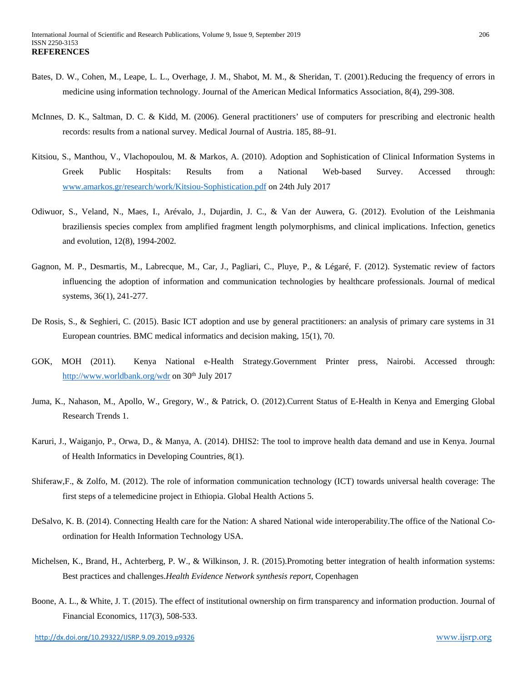- Bates, D. W., Cohen, M., Leape, L. L., Overhage, J. M., Shabot, M. M., & Sheridan, T. (2001).Reducing the frequency of errors in medicine using information technology. Journal of the American Medical Informatics Association, 8(4), 299-308.
- McInnes, D. K., Saltman, D. C. & Kidd, M. (2006). General practitioners' use of computers for prescribing and electronic health records: results from a national survey. Medical Journal of Austria. 185, 88–91*.*
- Kitsiou, S., Manthou, V., Vlachopoulou, M. & Markos, A. (2010). Adoption and Sophistication of Clinical Information Systems in Greek Public Hospitals: Results from a National Web-based Survey. Accessed through: [www.amarkos.gr/research/work/Kitsiou-Sophistication.pdf](http://www.amarkos.gr/research/work/Kitsiou-Sophistication.pdf) on 24th July 2017
- Odiwuor, S., Veland, N., Maes, I., Arévalo, J., Dujardin, J. C., & Van der Auwera, G. (2012). Evolution of the Leishmania braziliensis species complex from amplified fragment length polymorphisms, and clinical implications. Infection, genetics and evolution, 12(8), 1994-2002*.*
- Gagnon, M. P., Desmartis, M., Labrecque, M., Car, J., Pagliari, C., Pluye, P., & Légaré, F. (2012). Systematic review of factors influencing the adoption of information and communication technologies by healthcare professionals. Journal of medical systems, 36(1), 241-277.
- De Rosis, S., & Seghieri, C. (2015). Basic ICT adoption and use by general practitioners: an analysis of primary care systems in 31 European countries. BMC medical informatics and decision making, 15(1), 70.
- GOK, MOH (2011). Kenya National e-Health Strategy.Government Printer press, Nairobi. Accessed through: <http://www.worldbank.org/wdr> on  $30<sup>th</sup>$  July 2017
- Juma, K., Nahason, M., Apollo, W., Gregory, W., & Patrick, O. (2012).Current Status of E-Health in Kenya and Emerging Global Research Trends 1.
- Karuri, J., Waiganjo, P., Orwa, D., & Manya, A. (2014). DHIS2: The tool to improve health data demand and use in Kenya. Journal of Health Informatics in Developing Countries, 8(1).
- Shiferaw,F., & Zolfo, M. (2012). The role of information communication technology (ICT) towards universal health coverage: The first steps of a telemedicine project in Ethiopia. Global Health Actions 5.
- DeSalvo, K. B. (2014). Connecting Health care for the Nation: A shared National wide interoperability.The office of the National Coordination for Health Information Technology USA.
- Michelsen, K., Brand, H., Achterberg, P. W., & Wilkinson, J. R. (2015).Promoting better integration of health information systems: Best practices and challenges.*Health Evidence Network synthesis report*, Copenhagen
- Boone, A. L., & White, J. T. (2015). The effect of institutional ownership on firm transparency and information production. Journal of Financial Economics, 117(3), 508-533.